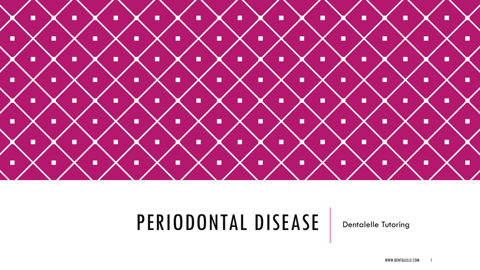

### PERIODONTAL DISEASE | Dentalelle Tutoring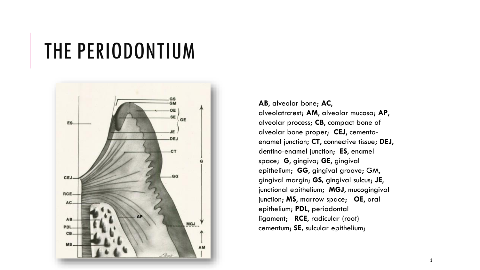### THE PERIODONTIUM



**AB**, alveolar bone; **AC**, alveolatrcrest; **AM**, alveolar mucosa; **AP**, alveolar process; **CB**, compact bone of alveolar bone proper; **CEJ**, cementoenamel junction; **CT**, connective tissue; **DEJ**, dentino-enamel junction; **ES**, enamel space; **G**, gingiva; **GE**, gingival epithelium; **GG**, gingival groove; GM, gingival margin; **GS,** gingival sulcus; **JE**, junctional epithelium; **MGJ**, mucogingival junction; **MS**, marrow space; **OE**, oral epithelium; **PDL**, periodontal ligament; **RCE**, radicular (root) cementum; **SE,** sulcular epithelium;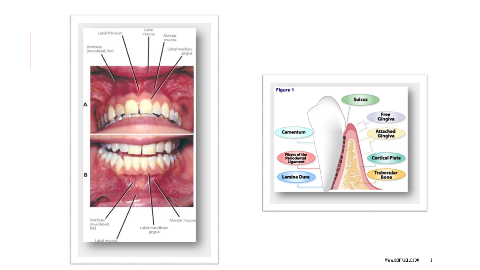

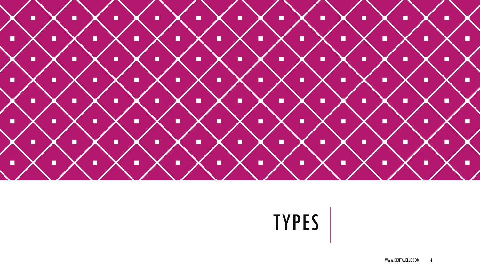

# TYPES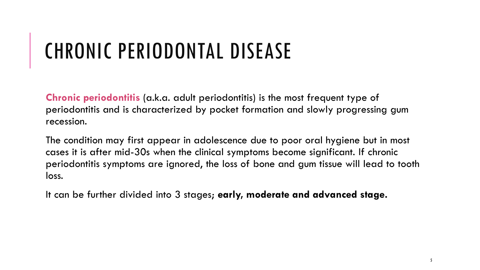# CHRONIC PERIODONTAL DISEASE

**Chronic periodontitis** (a.k.a. adult periodontitis) is the most frequent type of periodontitis and is characterized by pocket formation and slowly progressing gum recession.

The condition may first appear in adolescence due to poor oral hygiene but in most cases it is after mid-30s when the clinical symptoms become significant. If chronic periodontitis symptoms are ignored, the loss of bone and gum tissue will lead to tooth loss.

It can be further divided into 3 stages; **early, moderate and advanced stage.**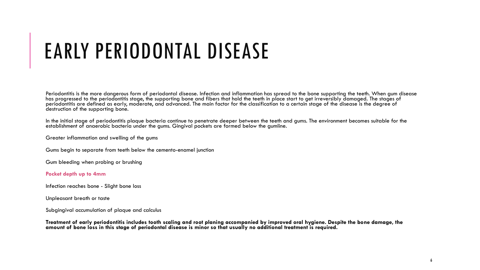### EARLY PERIODONTAL DISEASE

Periodontitis is the more dangerous form of periodontal disease. Infection and inflammation has spread to the bone supporting the teeth. When gum disease has progressed to the periodontitis stage, the supporting bone and fibers that hold the teeth in place start to get irreversibly damaged. The stages of periodontitis are defined as early, moderate, and advanced. The main factor for the classification to a certain stage of the disease is the degree of destruction of the supporting bone.

In the initial stage of periodontitis plaque bacteria continue to penetrate deeper between the teeth and gums. The environment becomes suitable for the establishment of anaerobic bacteria under the gums. Gingival pockets are formed below the gumline.

Greater inflammation and swelling of the gums

Gums begin to separate from teeth below the cemento-enamel junction

Gum bleeding when probing or brushing

#### **Pocket depth up to 4mm**

Infection reaches bone - Slight bone loss

Unpleasant breath or taste

Subgingival accumulation of plaque and calculus

**Treatment of early periodontitis includes tooth scaling and root planing accompanied by improved oral hygiene. Despite the bone damage, the amount of bone loss in this stage of periodontal disease is minor so that usually no additional treatment is required.**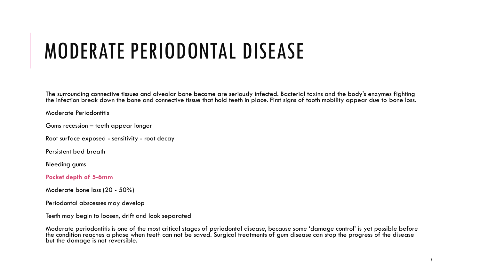### MODERATE PERIODONTAL DISEASE

The surrounding connective tissues and alveolar bone become are seriously infected. Bacterial toxins and the body's enzymes fighting the infection break down the bone and connective tissue that hold teeth in place. First signs of tooth mobility appear due to bone loss.

Moderate Periodontitis

Gums recession – teeth appear longer

Root surface exposed - sensitivity - root decay

Persistent bad breath

Bleeding gums

**Pocket depth of 5-6mm**

Moderate bone loss (20 - 50%)

Periodontal abscesses may develop

Teeth may begin to loosen, drift and look separated

Moderate periodontitis is one of the most critical stages of periodontal disease, because some 'damage control' is yet possible before the condition reaches a phase when teeth can not be saved. Surgical treatments of gum disease can stop the progress of the disease but the damage is not reversible.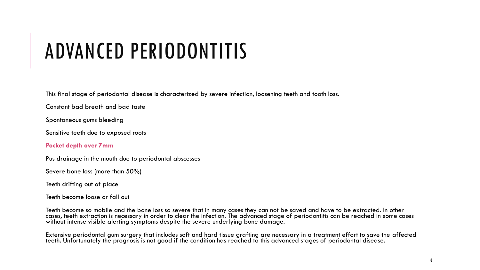### ADVANCED PERIODONTITIS

This final stage of periodontal disease is characterized by severe infection, loosening teeth and tooth loss.

Constant bad breath and bad taste

Spontaneous gums bleeding

Sensitive teeth due to exposed roots

#### **Pocket depth over 7mm**

Pus drainage in the mouth due to periodontal abscesses

Severe bone loss (more than 50%)

Teeth drifting out of place

Teeth become loose or fall out

Teeth become so mobile and the bone loss so severe that in many cases they can not be saved and have to be extracted. In other cases, teeth extraction is necessary in order to clear the infection. The advanced stage of periodontitis can be reached in some cases without intense visible alerting symptoms despite the severe underlying bone damage.

Extensive periodontal gum surgery that includes soft and hard tissue grafting are necessary in a treatment effort to save the affected teeth. Unfortunately the prognosis is not good if the condition has reached to this advanced stages of periodontal disease.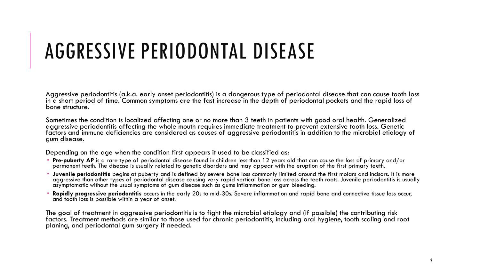### AGGRESSIVE PERIODONTAL DISEASE

Aggressive periodontitis (a.k.a. early onset periodontitis) is a dangerous type of periodontal disease that can cause tooth loss in a short period of time. Common symptoms are the fast increase in the depth of periodontal pockets and the rapid loss of bone structure.

Sometimes the condition is localized affecting one or no more than 3 teeth in patients with good oral health. Generalized aggressive periodontitis affecting the whole mouth requires immediate treatment to prevent extensive tooth loss. Genetic factors and immune deficiencies are considered as causes of aggressive periodontitis in addition to the microbial etiology of gum disease.

Depending on the age when the condition first appears it used to be classified as:

- **Pre-puberty AP** is a rare type of periodontal disease found in children less than 12 years old that can cause the loss of primary and/or permanent teeth. The disease is usually related to genetic disorders and may appear with the eruption of the first primary teeth.
- **Juvenile periodontitis** begins at puberty and is defined by severe bone loss commonly limited around the first molars and incisors. It is more aggressive than other types of periodontal disease causing very rapid vertical bone loss across the teeth roots. Juvenile periodontitis is usually asymptomatic without the usual symptoms of gum disease such as gums inflammation or gum bleeding.
- **Rapidly progressive periodontitis** occurs in the early 20s to mid-30s. Severe inflammation and rapid bone and connective tissue loss occur, and tooth loss is possible within a year of onset.

The goal of treatment in aggressive periodontitis is to fight the microbial etiology and (if possible) the contributing risk factors. Treatment methods are similar to those used for chronic periodontitis, including oral hygiene, tooth scaling and root planing, and periodontal gum surgery if needed.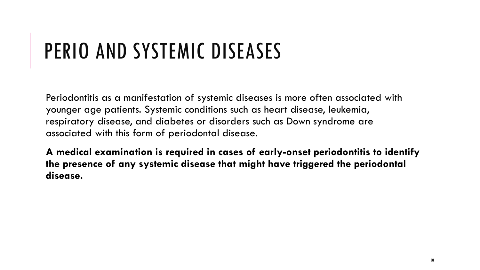# PERIO AND SYSTEMIC DISEASES

Periodontitis as a manifestation of systemic diseases is more often associated with younger age patients. Systemic conditions such as heart disease, leukemia, respiratory disease, and diabetes or disorders such as Down syndrome are associated with this form of periodontal disease.

**A medical examination is required in cases of early-onset periodontitis to identify the presence of any systemic disease that might have triggered the periodontal disease.**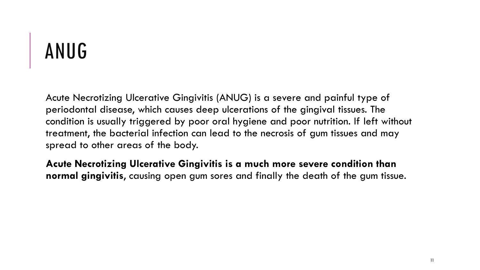# ANUG

Acute Necrotizing Ulcerative Gingivitis (ANUG) is a severe and painful type of periodontal disease, which causes deep ulcerations of the gingival tissues. The condition is usually triggered by poor oral hygiene and poor nutrition. If left without treatment, the bacterial infection can lead to the necrosis of gum tissues and may spread to other areas of the body.

**Acute Necrotizing Ulcerative Gingivitis is a much more severe condition than normal gingivitis**, causing open gum sores and finally the death of the gum tissue.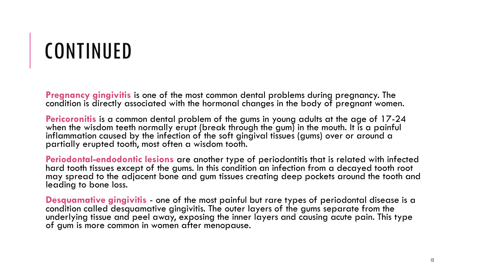# CONTINUED

**Pregnancy gingivitis** is one of the most common dental problems during pregnancy. The condition is directly associated with the hormonal changes in the body of pregnant women.

**Pericoronitis** is a common dental problem of the gums in young adults at the age of 17-24 when the wisdom teeth normally erupt (break through the gum) in the mouth. It is a painful inflammation caused by the infection of the soft gingival tissues (gums) over or around a partially erupted tooth, most often a wisdom tooth.

**Periodontal-endodontic lesions** are another type of periodontitis that is related with infected hard tooth tissues except of the gums. In this condition an infection from a decayed tooth root may spread to the adjacent bone and gum tissues creating deep pockets around the tooth and leading to bone loss.

**Desquamative gingivitis** - one of the most painful but rare types of periodontal disease is a condition called desquamative gingivitis. The outer layers of the gums separate from the underlying tissue and peel away, exposing the inner layers and causing acute pain. This type of gum is more common in women after menopause.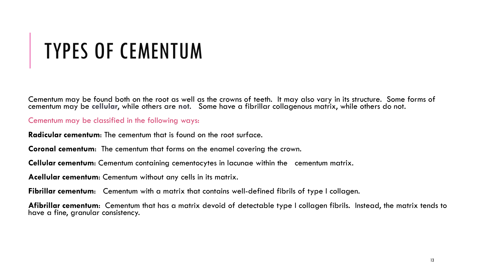# TYPES OF CEMENTUM

Cementum may be found both on the root as well as the crowns of teeth. It may also vary in its structure. Some forms of cementum may be cellular, while others are not. Some have a fibrillar collagenous matrix, while others do not.

Cementum may be classified in the following ways:

**Radicular cementum**: The cementum that is found on the root surface.

**Coronal cementum**: The cementum that forms on the enamel covering the crown.

**Cellular cementum**: Cementum containing cementocytes in lacunae within the cementum matrix.

**Acellular cementum**: Cementum without any cells in its matrix.

**Fibrillar cementum:** Cementum with a matrix that contains well-defined fibrils of type I collagen.

**Afibrillar cementum**: Cementum that has a matrix devoid of detectable type I collagen fibrils. Instead, the matrix tends to have a fine, granular consistency.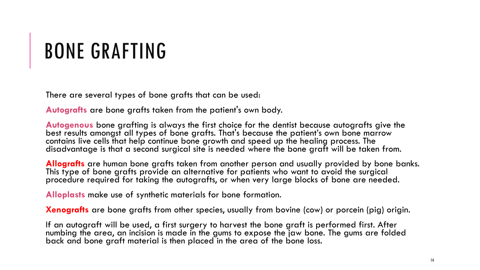### BONE GRAFTING

There are several types of bone grafts that can be used:

**Autografts** are bone grafts taken from the patient's own body.

**Autogenous** bone grafting is always the first choice for the dentist because autografts give the best results amongst all types of bone grafts. That's because the patient's own bone marrow contains live cells that help continue bone growth and speed up the healing process. The disadvantage is that a second surgical site is needed where the bone graft will be taken from.

**Allografts** are human bone grafts taken from another person and usually provided by bone banks. This type of bone grafts provide an alternative for patients who want to avoid the surgical procedure required for taking the autografts, or when very large blocks of bone are needed.

**Alloplasts** make use of synthetic materials for bone formation.

**Xenografts** are bone grafts from other species, usually from bovine (cow) or porcein (pig) origin.

If an autograft will be used, a first surgery to harvest the bone graft is performed first. After numbing the area, an incision is made in the gums to expose the jaw bone. The gums are folded back and bone graft material is then placed in the area of the bone loss.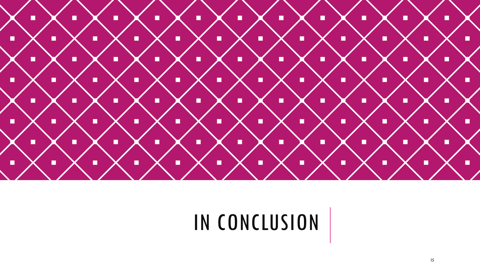

### IN CONCLUSION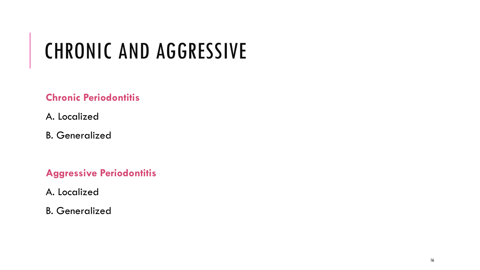# CHRONIC AND AGGRESSIVE

### **Chronic Periodontitis**

- A. Localized
- B. Generalized

**Aggressive Periodontitis**

A. Localized

B. Generalized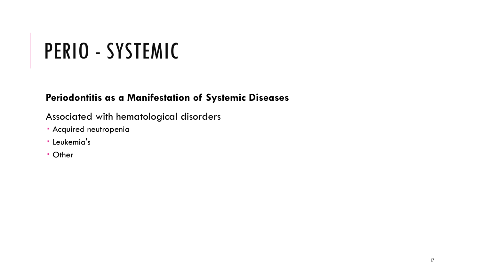# PERIO - SYSTEMIC

### **Periodontitis as a Manifestation of Systemic Diseases**

### Associated with hematological disorders

- Acquired neutropenia
- **· Leukemia's**
- Other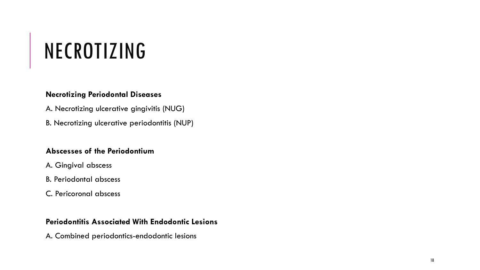# NECROTIZING

#### **Necrotizing Periodontal Diseases**

- A. Necrotizing ulcerative gingivitis (NUG)
- B. Necrotizing ulcerative periodontitis (NUP)

#### **Abscesses of the Periodontium**

- A. Gingival abscess
- B. Periodontal abscess
- C. Pericoronal abscess

#### **Periodontitis Associated With Endodontic Lesions**

A. Combined periodontics-endodontic lesions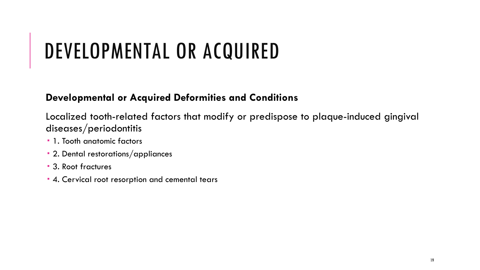### DEVELOPMENTAL OR ACQUIRED

#### **Developmental or Acquired Deformities and Conditions**

Localized tooth-related factors that modify or predispose to plaque-induced gingival diseases/periodontitis

- 1. Tooth anatomic factors
- 2. Dental restorations/appliances
- 3. Root fractures
- 4. Cervical root resorption and cemental tears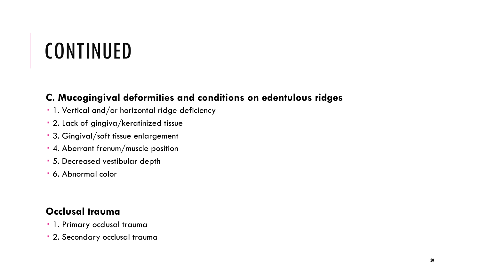## CONTINUED

### **C. Mucogingival deformities and conditions on edentulous ridges**

- 1. Vertical and/or horizontal ridge deficiency
- 2. Lack of gingiva/keratinized tissue
- 3. Gingival/soft tissue enlargement
- 4. Aberrant frenum/muscle position
- 5. Decreased vestibular depth
- 6. Abnormal color

### **Occlusal trauma**

- 1. Primary occlusal trauma
- 2. Secondary occlusal trauma